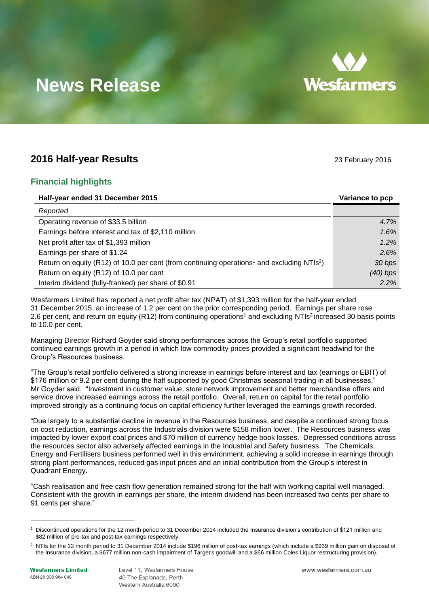

# **News Release**

## **2016 Half-year Results** 23 February 2016

## **Financial highlights**

| Half-year ended 31 December 2015                                                                                   | Variance to pcp |
|--------------------------------------------------------------------------------------------------------------------|-----------------|
| Reported                                                                                                           |                 |
| Operating revenue of \$33.5 billion                                                                                | 4.7%            |
| Earnings before interest and tax of \$2,110 million                                                                | 1.6%            |
| Net profit after tax of \$1,393 million                                                                            | 1.2%            |
| Earnings per share of \$1.24                                                                                       | 2.6%            |
| Return on equity (R12) of 10.0 per cent (from continuing operations <sup>1</sup> and excluding NTIs <sup>2</sup> ) | 30 bps          |
| Return on equity (R12) of 10.0 per cent                                                                            | $(40)$ bps      |
| Interim dividend (fully-franked) per share of \$0.91                                                               | 2.2%            |

Wesfarmers Limited has reported a net profit after tax (NPAT) of \$1,393 million for the half-year ended 31 December 2015, an increase of 1.2 per cent on the prior corresponding period. Earnings per share rose 2.6 per cent, and return on equity (R[1](#page-0-0)[2](#page-0-1)) from continuing operations<sup>1</sup> and excluding NTIs<sup>2</sup> increased 30 basis points to 10.0 per cent.

Managing Director Richard Goyder said strong performances across the Group's retail portfolio supported continued earnings growth in a period in which low commodity prices provided a significant headwind for the Group's Resources business.

"The Group's retail portfolio delivered a strong increase in earnings before interest and tax (earnings or EBIT) of \$176 million or 9.2 per cent during the half supported by good Christmas seasonal trading in all businesses," Mr Goyder said. "Investment in customer value, store network improvement and better merchandise offers and service drove increased earnings across the retail portfolio. Overall, return on capital for the retail portfolio improved strongly as a continuing focus on capital efficiency further leveraged the earnings growth recorded.

"Due largely to a substantial decline in revenue in the Resources business, and despite a continued strong focus on cost reduction, earnings across the Industrials division were \$158 million lower. The Resources business was impacted by lower export coal prices and \$70 million of currency hedge book losses. Depressed conditions across the resources sector also adversely affected earnings in the Industrial and Safety business. The Chemicals, Energy and Fertilisers business performed well in this environment, achieving a solid increase in earnings through strong plant performances, reduced gas input prices and an initial contribution from the Group's interest in Quadrant Energy.

"Cash realisation and free cash flow generation remained strong for the half with working capital well managed. Consistent with the growth in earnings per share, the interim dividend has been increased two cents per share to 91 cents per share."

 $\overline{a}$ 

<span id="page-0-1"></span><span id="page-0-0"></span>

<sup>1</sup> Discontinued operations for the 12 month period to 31 December 2014 included the Insurance division's contribution of \$121 million and \$82 million of pre-tax and post-tax earnings respectively.

<sup>&</sup>lt;sup>2</sup> NTIs for the 12 month period to 31 December 2014 include \$196 million of post-tax earnings (which include a \$939 million gain on disposal of the Insurance division, a \$677 million non-cash impairment of Target's goodwill and a \$66 million Coles Liquor restructuring provision).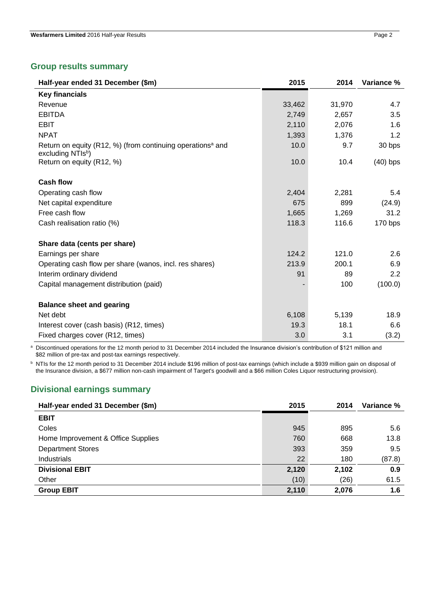## **Group results summary**

| Half-year ended 31 December (\$m)                                                          | 2015   | 2014   | Variance % |
|--------------------------------------------------------------------------------------------|--------|--------|------------|
| <b>Key financials</b>                                                                      |        |        |            |
| Revenue                                                                                    | 33,462 | 31,970 | 4.7        |
| <b>EBITDA</b>                                                                              | 2,749  | 2,657  | 3.5        |
| <b>EBIT</b>                                                                                | 2,110  | 2,076  | 1.6        |
| <b>NPAT</b>                                                                                | 1,393  | 1,376  | 1.2        |
| Return on equity (R12, %) (from continuing operations <sup>a</sup> and<br>excluding NTIsb) | 10.0   | 9.7    | 30 bps     |
| Return on equity (R12, %)                                                                  | 10.0   | 10.4   | $(40)$ bps |
| <b>Cash flow</b>                                                                           |        |        |            |
| Operating cash flow                                                                        | 2,404  | 2,281  | 5.4        |
| Net capital expenditure                                                                    | 675    | 899    | (24.9)     |
| Free cash flow                                                                             | 1,665  | 1,269  | 31.2       |
| Cash realisation ratio (%)                                                                 | 118.3  | 116.6  | 170 bps    |
| Share data (cents per share)                                                               |        |        |            |
| Earnings per share                                                                         | 124.2  | 121.0  | 2.6        |
| Operating cash flow per share (wanos, incl. res shares)                                    | 213.9  | 200.1  | 6.9        |
| Interim ordinary dividend                                                                  | 91     | 89     | 2.2        |
| Capital management distribution (paid)                                                     |        | 100    | (100.0)    |
| <b>Balance sheet and gearing</b>                                                           |        |        |            |
| Net debt                                                                                   | 6,108  | 5,139  | 18.9       |
| Interest cover (cash basis) (R12, times)                                                   | 19.3   | 18.1   | 6.6        |
| Fixed charges cover (R12, times)                                                           | 3.0    | 3.1    | (3.2)      |

a Discontinued operations for the 12 month period to 31 December 2014 included the Insurance division's contribution of \$121 million and \$82 million of pre-tax and post-tax earnings respectively.

**b NTIs for the 12 month period to 31 December 2014 include \$196 million of post-tax earnings (which include a \$939 million gain on disposal of** the Insurance division, a \$677 million non-cash impairment of Target's goodwill and a \$66 million Coles Liquor restructuring provision).

## **Divisional earnings summary**

| Half-year ended 31 December (\$m)  | 2015  | 2014  | Variance % |
|------------------------------------|-------|-------|------------|
| <b>EBIT</b>                        |       |       |            |
| Coles                              | 945   | 895   | 5.6        |
| Home Improvement & Office Supplies | 760   | 668   | 13.8       |
| <b>Department Stores</b>           | 393   | 359   | 9.5        |
| Industrials                        | 22    | 180   | (87.8)     |
| <b>Divisional EBIT</b>             | 2,120 | 2,102 | 0.9        |
| Other                              | (10)  | (26)  | 61.5       |
| <b>Group EBIT</b>                  | 2,110 | 2,076 | 1.6        |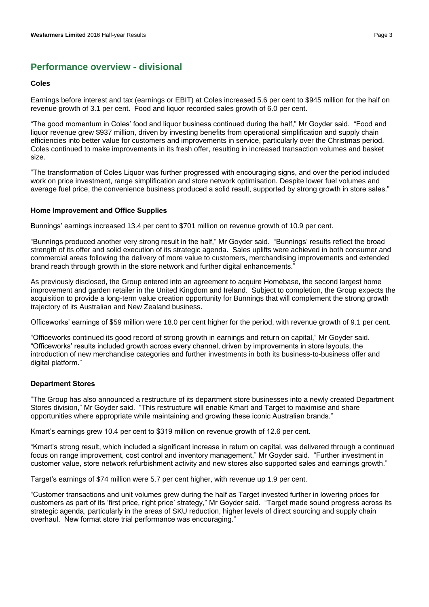## **Performance overview - divisional**

#### **Coles**

Earnings before interest and tax (earnings or EBIT) at Coles increased 5.6 per cent to \$945 million for the half on revenue growth of 3.1 per cent. Food and liquor recorded sales growth of 6.0 per cent.

"The good momentum in Coles' food and liquor business continued during the half," Mr Goyder said. "Food and liquor revenue grew \$937 million, driven by investing benefits from operational simplification and supply chain efficiencies into better value for customers and improvements in service, particularly over the Christmas period. Coles continued to make improvements in its fresh offer, resulting in increased transaction volumes and basket size.

"The transformation of Coles Liquor was further progressed with encouraging signs, and over the period included work on price investment, range simplification and store network optimisation. Despite lower fuel volumes and average fuel price, the convenience business produced a solid result, supported by strong growth in store sales."

#### **Home Improvement and Office Supplies**

Bunnings' earnings increased 13.4 per cent to \$701 million on revenue growth of 10.9 per cent.

"Bunnings produced another very strong result in the half," Mr Goyder said. "Bunnings' results reflect the broad strength of its offer and solid execution of its strategic agenda. Sales uplifts were achieved in both consumer and commercial areas following the delivery of more value to customers, merchandising improvements and extended brand reach through growth in the store network and further digital enhancements."

As previously disclosed, the Group entered into an agreement to acquire Homebase, the second largest home improvement and garden retailer in the United Kingdom and Ireland. Subject to completion, the Group expects the acquisition to provide a long-term value creation opportunity for Bunnings that will complement the strong growth trajectory of its Australian and New Zealand business.

Officeworks' earnings of \$59 million were 18.0 per cent higher for the period, with revenue growth of 9.1 per cent.

"Officeworks continued its good record of strong growth in earnings and return on capital," Mr Goyder said. "Officeworks' results included growth across every channel, driven by improvements in store layouts, the introduction of new merchandise categories and further investments in both its business-to-business offer and digital platform."

#### **Department Stores**

"The Group has also announced a restructure of its department store businesses into a newly created Department Stores division," Mr Goyder said. "This restructure will enable Kmart and Target to maximise and share opportunities where appropriate while maintaining and growing these iconic Australian brands."

Kmart's earnings grew 10.4 per cent to \$319 million on revenue growth of 12.6 per cent.

"Kmart's strong result, which included a significant increase in return on capital, was delivered through a continued focus on range improvement, cost control and inventory management," Mr Goyder said. "Further investment in customer value, store network refurbishment activity and new stores also supported sales and earnings growth."

Target's earnings of \$74 million were 5.7 per cent higher, with revenue up 1.9 per cent.

"Customer transactions and unit volumes grew during the half as Target invested further in lowering prices for customers as part of its 'first price, right price' strategy," Mr Goyder said. "Target made sound progress across its strategic agenda, particularly in the areas of SKU reduction, higher levels of direct sourcing and supply chain overhaul. New format store trial performance was encouraging."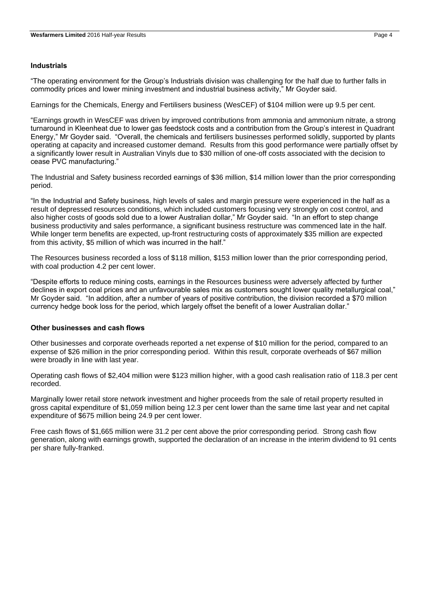#### **Industrials**

"The operating environment for the Group's Industrials division was challenging for the half due to further falls in commodity prices and lower mining investment and industrial business activity," Mr Goyder said.

Earnings for the Chemicals, Energy and Fertilisers business (WesCEF) of \$104 million were up 9.5 per cent.

"Earnings growth in WesCEF was driven by improved contributions from ammonia and ammonium nitrate, a strong turnaround in Kleenheat due to lower gas feedstock costs and a contribution from the Group's interest in Quadrant Energy," Mr Goyder said. "Overall, the chemicals and fertilisers businesses performed solidly, supported by plants operating at capacity and increased customer demand. Results from this good performance were partially offset by a significantly lower result in Australian Vinyls due to \$30 million of one-off costs associated with the decision to cease PVC manufacturing."

The Industrial and Safety business recorded earnings of \$36 million, \$14 million lower than the prior corresponding period.

"In the Industrial and Safety business, high levels of sales and margin pressure were experienced in the half as a result of depressed resources conditions, which included customers focusing very strongly on cost control, and also higher costs of goods sold due to a lower Australian dollar," Mr Goyder said. "In an effort to step change business productivity and sales performance, a significant business restructure was commenced late in the half. While longer term benefits are expected, up-front restructuring costs of approximately \$35 million are expected from this activity, \$5 million of which was incurred in the half."

The Resources business recorded a loss of \$118 million, \$153 million lower than the prior corresponding period, with coal production 4.2 per cent lower.

"Despite efforts to reduce mining costs, earnings in the Resources business were adversely affected by further declines in export coal prices and an unfavourable sales mix as customers sought lower quality metallurgical coal," Mr Goyder said. "In addition, after a number of years of positive contribution, the division recorded a \$70 million currency hedge book loss for the period, which largely offset the benefit of a lower Australian dollar."

#### **Other businesses and cash flows**

Other businesses and corporate overheads reported a net expense of \$10 million for the period, compared to an expense of \$26 million in the prior corresponding period. Within this result, corporate overheads of \$67 million were broadly in line with last year.

Operating cash flows of \$2,404 million were \$123 million higher, with a good cash realisation ratio of 118.3 per cent recorded.

Marginally lower retail store network investment and higher proceeds from the sale of retail property resulted in gross capital expenditure of \$1,059 million being 12.3 per cent lower than the same time last year and net capital expenditure of \$675 million being 24.9 per cent lower.

Free cash flows of \$1,665 million were 31.2 per cent above the prior corresponding period. Strong cash flow generation, along with earnings growth, supported the declaration of an increase in the interim dividend to 91 cents per share fully-franked.